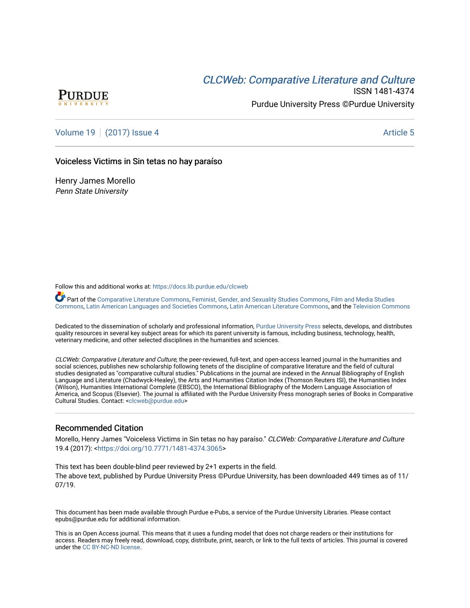## CLCW[eb: Comparative Liter](https://docs.lib.purdue.edu/clcweb)ature and Culture



ISSN 1481-4374 Purdue University Press ©Purdue University

[Volume 19](https://docs.lib.purdue.edu/clcweb/vol19) | [\(2017\) Issue 4](https://docs.lib.purdue.edu/clcweb/vol19/iss4) Article 5

### Voiceless Victims in Sin tetas no hay paraíso

Henry James Morello Penn State University

Follow this and additional works at: [https://docs.lib.purdue.edu/clcweb](https://docs.lib.purdue.edu/clcweb?utm_source=docs.lib.purdue.edu%2Fclcweb%2Fvol19%2Fiss4%2F5&utm_medium=PDF&utm_campaign=PDFCoverPages)

Part of the [Comparative Literature Commons,](http://network.bepress.com/hgg/discipline/454?utm_source=docs.lib.purdue.edu%2Fclcweb%2Fvol19%2Fiss4%2F5&utm_medium=PDF&utm_campaign=PDFCoverPages) [Feminist, Gender, and Sexuality Studies Commons,](http://network.bepress.com/hgg/discipline/559?utm_source=docs.lib.purdue.edu%2Fclcweb%2Fvol19%2Fiss4%2F5&utm_medium=PDF&utm_campaign=PDFCoverPages) [Film and Media Studies](http://network.bepress.com/hgg/discipline/563?utm_source=docs.lib.purdue.edu%2Fclcweb%2Fvol19%2Fiss4%2F5&utm_medium=PDF&utm_campaign=PDFCoverPages)  [Commons,](http://network.bepress.com/hgg/discipline/563?utm_source=docs.lib.purdue.edu%2Fclcweb%2Fvol19%2Fiss4%2F5&utm_medium=PDF&utm_campaign=PDFCoverPages) [Latin American Languages and Societies Commons,](http://network.bepress.com/hgg/discipline/483?utm_source=docs.lib.purdue.edu%2Fclcweb%2Fvol19%2Fiss4%2F5&utm_medium=PDF&utm_campaign=PDFCoverPages) [Latin American Literature Commons,](http://network.bepress.com/hgg/discipline/547?utm_source=docs.lib.purdue.edu%2Fclcweb%2Fvol19%2Fiss4%2F5&utm_medium=PDF&utm_campaign=PDFCoverPages) and the [Television Commons](http://network.bepress.com/hgg/discipline/1143?utm_source=docs.lib.purdue.edu%2Fclcweb%2Fvol19%2Fiss4%2F5&utm_medium=PDF&utm_campaign=PDFCoverPages)

Dedicated to the dissemination of scholarly and professional information, [Purdue University Press](http://www.thepress.purdue.edu/) selects, develops, and distributes quality resources in several key subject areas for which its parent university is famous, including business, technology, health, veterinary medicine, and other selected disciplines in the humanities and sciences.

CLCWeb: Comparative Literature and Culture, the peer-reviewed, full-text, and open-access learned journal in the humanities and social sciences, publishes new scholarship following tenets of the discipline of comparative literature and the field of cultural studies designated as "comparative cultural studies." Publications in the journal are indexed in the Annual Bibliography of English Language and Literature (Chadwyck-Healey), the Arts and Humanities Citation Index (Thomson Reuters ISI), the Humanities Index (Wilson), Humanities International Complete (EBSCO), the International Bibliography of the Modern Language Association of America, and Scopus (Elsevier). The journal is affiliated with the Purdue University Press monograph series of Books in Comparative Cultural Studies. Contact: [<clcweb@purdue.edu](mailto:clcweb@purdue.edu)>

## Recommended Citation

Morello, Henry James "Voiceless Victims in Sin tetas no hay paraíso." CLCWeb: Comparative Literature and Culture 19.4 (2017): [<https://doi.org/10.7771/1481-4374.3065>](https://doi.org/10.7771/1481-4374.3065)

This text has been double-blind peer reviewed by 2+1 experts in the field. The above text, published by Purdue University Press ©Purdue University, has been downloaded 449 times as of 11/ 07/19.

This document has been made available through Purdue e-Pubs, a service of the Purdue University Libraries. Please contact epubs@purdue.edu for additional information.

This is an Open Access journal. This means that it uses a funding model that does not charge readers or their institutions for access. Readers may freely read, download, copy, distribute, print, search, or link to the full texts of articles. This journal is covered under the [CC BY-NC-ND license.](https://creativecommons.org/licenses/by-nc-nd/4.0/)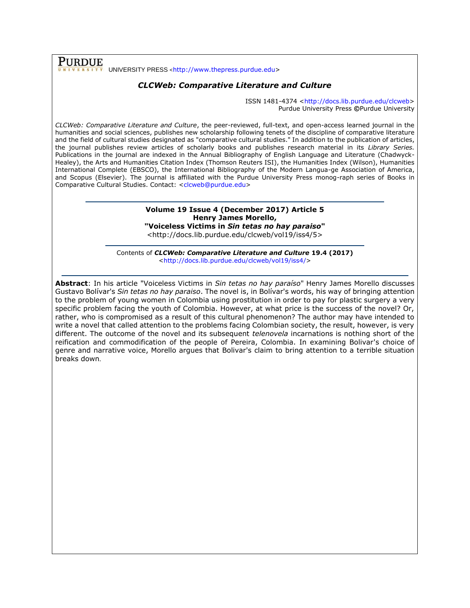**PURDUE** UNIVERSITY PRESS <[http://www.thepress.purdue.edu>](http://www.thepress.purdue.edu/)

## *CLCWeb: Comparative Literature and Culture*

ISSN 1481-4374 [<http://docs.lib.purdue.edu/clcweb>](http://docs.lib.purdue.edu/clcweb) Purdue University Press **©**Purdue University

*CLCWeb: Comparative Literature and Culture*, the peer-reviewed, full-text, and open-access learned journal in the humanities and social sciences, publishes new scholarship following tenets of the discipline of comparative literature and the field of cultural studies designated as "comparative cultural studies." In addition to the publication of articles, the journal publishes review articles of scholarly books and publishes research material in its *Library Series.*  Publications in the journal are indexed in the Annual Bibliography of English Language and Literature (Chadwyck-Healey), the Arts and Humanities Citation Index (Thomson Reuters ISI), the Humanities Index (Wilson), Humanities International Complete (EBSCO), the International Bibliography of the Modern Langua-ge Association of America, and Scopus (Elsevier). The journal is affiliated with the Purdue University Press monog-raph series of Books in Comparative Cultural Studies. Contact: [<clcweb@purdue.edu>](mailto:clcweb@purdue.edu)

#### **Volume 19 Issue 4 (December 2017) Article 5 Henry James Morello, "Voiceless Victims in** *Sin tetas no hay paraiso***"**

<http://docs.lib.purdue.edu/clcweb/vol19/iss4/5>

Contents of *CLCWeb: Comparative Literature and Culture* **19.4 (2017)** [<http://docs.lib.purdue.edu/clcweb/vol19/iss4/>](http://docs.lib.purdue.edu/clcweb/vol19/iss1/)

**Abstract**: In his article "Voiceless Victims in *Sin tetas no hay paraíso*" Henry James Morello discusses Gustavo Bolívar's *Sin tetas no hay paraiso*. The novel is, in Bolívar's words, his way of bringing attention to the problem of young women in Colombia using prostitution in order to pay for plastic surgery a very specific problem facing the youth of Colombia. However, at what price is the success of the novel? Or, rather, who is compromised as a result of this cultural phenomenon? The author may have intended to write a novel that called attention to the problems facing Colombian society, the result, however, is very different. The outcome of the novel and its subsequent *telenovela* incarnations is nothing short of the reification and commodification of the people of Pereira, Colombia. In examining Bolivar's choice of genre and narrative voice, Morello argues that Bolivar's claim to bring attention to a terrible situation breaks down.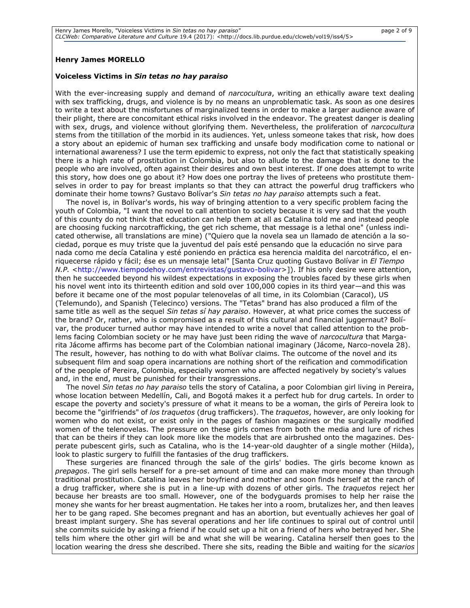#### **Henry James MORELLO**

#### **Voiceless Victims in** *Sin tetas no hay paraiso*

With the ever-increasing supply and demand of *narcocultura*, writing an ethically aware text dealing with sex trafficking, drugs, and violence is by no means an unproblematic task. As soon as one desires to write a text about the misfortunes of marginalized teens in order to make a larger audience aware of their plight, there are concomitant ethical risks involved in the endeavor. The greatest danger is dealing with sex, drugs, and violence without glorifying them. Nevertheless, the proliferation of *narcocultura* stems from the titillation of the morbid in its audiences. Yet, unless someone takes that risk, how does a story about an epidemic of human sex trafficking and unsafe body modification come to national or international awareness? I use the term epidemic to express, not only the fact that statistically speaking there is a high rate of prostitution in Colombia, but also to allude to the damage that is done to the people who are involved, often against their desires and own best interest. If one does attempt to write this story, how does one go about it? How does one portray the lives of preteens who prostitute themselves in order to pay for breast implants so that they can attract the powerful drug traffickers who dominate their home towns? Gustavo Bolívar's *Sin tetas no hay paraiso* attempts such a feat.

The novel is, in Bolívar's words, his way of bringing attention to a very specific problem facing the youth of Colombia, "I want the novel to call attention to society because it is very sad that the youth of this county do not think that education can help them at all as Catalina told me and instead people are choosing fucking narcotrafficking, the get rich scheme, that message is a lethal one" (unless indicated otherwise, all translations are mine) ("Quiero que la novela sea un llamado de atención a la sociedad, porque es muy triste que la juventud del país esté pensando que la educación no sirve para nada como me decía Catalina y esté poniendo en práctica esa herencia maldita del narcotráfico, el enriquecerse rápido y fácil; ése es un mensaje letal" [Santa Cruz quoting Gustavo Bolívar in *El Tiempo N.P.* [<http://www.tiempodehoy.com/entrevistas/gustavo-bolivar>](http://www.tiempodehoy.com/entrevistas/gustavo-bolivar)]). If his only desire were attention, then he succeeded beyond his wildest expectations in exposing the troubles faced by these girls when his novel went into its thirteenth edition and sold over 100,000 copies in its third year—and this was before it became one of the most popular telenovelas of all time, in its Colombian (Caracol), US (Telemundo), and Spanish (Telecinco) versions. The "Tetas" brand has also produced a film of the same title as well as the sequel *Sin tetas sí hay paraiso*. However, at what price comes the success of the brand? Or, rather, who is compromised as a result of this cultural and financial juggernaut? Bolívar, the producer turned author may have intended to write a novel that called attention to the problems facing Colombian society or he may have just been riding the wave of *narcocultura* that Margarita Jácome affirms has become part of the Colombian national imaginary (Jácome, Narco-novela 28). The result, however, has nothing to do with what Bolívar claims. The outcome of the novel and its subsequent film and soap opera incarnations are nothing short of the reification and commodification of the people of Pereira, Colombia, especially women who are affected negatively by society's values and, in the end, must be punished for their transgressions.

The novel *Sin tetas no hay paraiso* tells the story of Catalina, a poor Colombian girl living in Pereira, whose location between Medellín, Cali, and Bogotá makes it a perfect hub for drug cartels. In order to escape the poverty and society's pressure of what it means to be a woman, the girls of Pereira look to become the "girlfriends" of *los traquetos* (drug traffickers). The *traquetos*, however, are only looking for women who do not exist, or exist only in the pages of fashion magazines or the surgically modified women of the telenovelas. The pressure on these girls comes from both the media and lure of riches that can be theirs if they can look more like the models that are airbrushed onto the magazines. Desperate pubescent girls, such as Catalina, who is the 14-year-old daughter of a single mother (Hilda), look to plastic surgery to fulfill the fantasies of the drug traffickers.

These surgeries are financed through the sale of the girls' bodies. The girls become known as *prepagos*. The girl sells herself for a pre-set amount of time and can make more money than through traditional prostitution. Catalina leaves her boyfriend and mother and soon finds herself at the ranch of a drug trafficker, where she is put in a line-up with dozens of other girls. The *traquetos* reject her because her breasts are too small. However, one of the bodyguards promises to help her raise the money she wants for her breast augmentation. He takes her into a room, brutalizes her, and then leaves her to be gang raped. She becomes pregnant and has an abortion, but eventually achieves her goal of breast implant surgery. She has several operations and her life continues to spiral out of control until she commits suicide by asking a friend if he could set up a hit on a friend of hers who betrayed her. She tells him where the other girl will be and what she will be wearing. Catalina herself then goes to the location wearing the dress she described. There she sits, reading the Bible and waiting for the *sicarios*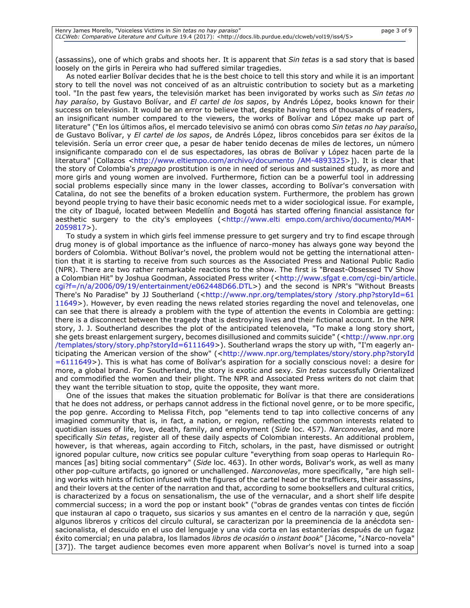(assassins), one of which grabs and shoots her. It is apparent that *Sin tetas* is a sad story that is based loosely on the girls in Pereira who had suffered similar tragedies.

As noted earlier Bolívar decides that he is the best choice to tell this story and while it is an important story to tell the novel was not conceived of as an altruistic contribution to society but as a marketing tool. "In the past few years, the televisión market has been invigorated by works such as *Sin tetas no hay paraíso*, by Gustavo Bolívar, and *El cartel de los sapos*, by Andrés López, books known for their success on television. It would be an error to believe that, despite having tens of thousands of readers, an insignificant number compared to the viewers, the works of Bolívar and López make up part of literature" ("En los últimos años, el mercado televisivo se animó con obras como *Sin tetas no hay paraíso*, de Gustavo Bolívar, y *El cartel de los sapos*, de Andrés López, libros concebidos para ser éxitos de la televisión. Sería un error creer que, a pesar de haber tenido decenas de miles de lectores, un número insignificante comparado con el de sus espectadores, las obras de Bolívar y López hacen parte de la literatura" [Collazos [<http://www.eltiempo.com/archivo/documento /AM-4893325>](http://www.eltiempo.com/archivo/documento%20/AM-4893325)]). It is clear that the story of Colombia's *prepago* prostitution is one in need of serious and sustained study, as more and more girls and young women are involved. Furthermore, fiction can be a powerful tool in addressing social problems especially since many in the lower classes, according to Bolívar's conversation with Catalina, do not see the benefits of a broken education system. Furthermore, the problem has grown beyond people trying to have their basic economic needs met to a wider sociological issue. For example, the city of Ibagué, located between Medellín and Bogotá has started offering financial assistance for aesthetic surgery to the city's employees (<http://www.elti empo.com/archivo/documento/MAM-2059817>).

To study a system in which girls feel immense pressure to get surgery and try to find escape through drug money is of global importance as the influence of narco-money has always gone way beyond the borders of Colombia. Without Bolívar's novel, the problem would not be getting the international attention that it is starting to receive from such sources as the Associated Press and National Public Radio (NPR). There are two rather remarkable reactions to the show. The first is "Breast-Obsessed TV Show a Colombian Hit" by Joshua Goodman, Associated Press writer (<http://www.sfgat e.com/cgi-bin/article. cgi?f=/n/a/2006/09/19/entertainment/e062448D66.DTL>) and the second is NPR's "Without Breasts There's No Paradise" by JJ Southerland (<http://www.npr.org/templates/story /story.php?storyId=61 [11649>](http://www.npr.org/templates/story%20/story.php?storyId=61%2011649)). However, by even reading the news related stories regarding the novel and telenovelas, one can see that there is already a problem with the type of attention the events in Colombia are getting: there is a disconnect between the tragedy that is destroying lives and their fictional account. In the NPR story, J. J. Southerland describes the plot of the anticipated telenovela, "To make a long story short, she gets breast enlargement surgery, becomes disillusioned and commits suicide" (<http://www.npr.org /templates/story/story.php?storyId=6111649>). Southerland wraps the story up with, "I'm eagerly anticipating the American version of the show" (<http://www.npr.org/templates/story/story.php?storyId [=6111649>](http://www.npr.org/templates/story/story.php?storyId%20=6111649)). This is what has come of Bolívar's aspiration for a socially conscious novel: a desire for more, a global brand. For Southerland, the story is exotic and sexy. *Sin tetas* successfully Orientalized and commodified the women and their plight. The NPR and Associated Press writers do not claim that they want the terrible situation to stop, quite the opposite, they want more.

One of the issues that makes the situation problematic for Bolívar is that there are considerations that he does not address, or perhaps cannot address in the fictional novel genre, or to be more specific, the pop genre. According to Melissa Fitch, pop "elements tend to tap into collective concerns of any imagined community that is, in fact, a nation, or region, reflecting the common interests related to quotidian issues of life, love, death, family, and employment (*Side* loc. 457). *Narconovelas*, and more specifically *Sin tetas*, register all of these daily aspects of Colombian interests. An additional problem, however, is that whereas, again according to Fitch, scholars, in the past, have dismissed or outright ignored popular culture, now critics see popular culture "everything from soap operas to Harlequin Romances [as] biting social commentary" (*Side* loc. 463). In other words, Bolivar's work, as well as many other pop-culture artifacts, go ignored or unchallenged. *Narconovelas*, more specifically, "are high selling works with hints of fiction infused with the figures of the cartel head or the traffickers, their assassins, and their lovers at the center of the narration and that, according to some booksellers and cultural critics, is characterized by a focus on sensationalism, the use of the vernacular, and a short shelf life despite commercial success; in a word the pop or instant book" ("obras de grandes ventas con tintes de ficción que instauran al capo o traqueto, sus sicarios y sus amantes en el centro de la narración y que, según algunos libreros y críticos del círculo cultural, se caracterizan por la preeminencia de la anécdota sensacionalista, el descuido en el uso del lenguaje y una vida corta en las estanterías después de un fugaz éxito comercial; en una palabra, los llamados *libros de ocasión* o *instant book*" [Jácome, "¿Narco-novela" [37]). The target audience becomes even more apparent when Bolívar's novel is turned into a soap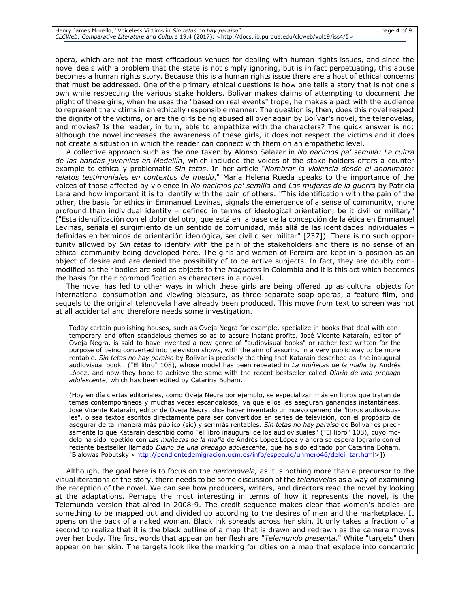opera, which are not the most efficacious venues for dealing with human rights issues, and since the novel deals with a problem that the state is not simply ignoring, but is in fact perpetuating, this abuse becomes a human rights story. Because this is a human rights issue there are a host of ethical concerns that must be addressed. One of the primary ethical questions is how one tells a story that is not one's own while respecting the various stake holders. Bolívar makes claims of attempting to document the plight of these girls, when he uses the "based on real events" trope, he makes a pact with the audience to represent the victims in an ethically responsible manner. The question is, then, does this novel respect the dignity of the victims, or are the girls being abused all over again by Bolívar's novel, the telenovelas, and movies? Is the reader, in turn, able to empathize with the characters? The quick answer is no; although the novel increases the awareness of these girls, it does not respect the victims and it does not create a situation in which the reader can connect with them on an empathetic level.

A collective approach such as the one taken by Alonso Salazar in *No nacimos pa' semilla: La cultra de las bandas juveniles en Medellín*, which included the voices of the stake holders offers a counter example to ethically problematic *Sin tetas*. In her article "*Nombrar la violencia desde el anonimato: relatos testimoniales en contextos de miedo*," María Helena Rueda speaks to the importance of the voices of those affected by violence in *No nacimos pa' semilla* and *Las mujeres de la guerra* by Patricia Lara and how important it is to identify with the pain of others. "This identification with the pain of the other, the basis for ethics in Emmanuel Levinas, signals the emergence of a sense of community, more profound than individual identity - defined in terms of ideological orientation, be it civil or military' ("Esta identificación con el dolor del otro, que está en la base de la concepción de la ética en Emmanuel Levinas, señala el surgimiento de un sentido de comunidad, más allá de las identidades individuales – definidas en términos de orientación ideológica, ser civil o ser militar" [237]). There is no such opportunity allowed by *Sin tetas* to identify with the pain of the stakeholders and there is no sense of an ethical community being developed here. The girls and women of Pereira are kept in a position as an object of desire and are denied the possibility of to be active subjects. In fact, they are doubly commodified as their bodies are sold as objects to the *traquetos* in Colombia and it is this act which becomes the basis for their commodification as characters in a novel.

The novel has led to other ways in which these girls are being offered up as cultural objects for international consumption and viewing pleasure, as three separate soap operas, a feature film, and sequels to the original telenovela have already been produced. This move from text to screen was not at all accidental and therefore needs some investigation.

Today certain publishing houses, such as Oveja Negra for example, specialize in books that deal with contemporary and often scandalous themes so as to assure instant profits. José Vicente Kataraín, editor of Oveja Negra, is said to have invented a new genre of "audiovisual books" or rather text written for the purpose of being converted into television shows, with the aim of assuring in a very public way to be more rentable. *Sin tetas no hay paraíso* by Bolivar is precisely the thing that Kataraín described as 'the inaugural audiovisual book'. ("El libro" 108), whose model has been repeated in *La muñecas de la mafia* by Andrés López, and now they hope to achieve the same with the recent bestseller called *Diario de una prepago adolescente*, which has been edited by Catarina Boham.

(Hoy en día ciertas editoriales, como Oveja Negra por ejemplo, se especializan más en libros que tratan de temas contemporáneos y muchas veces escandalosos, ya que ellos les aseguran ganancias instantáneas. José Vicente Kataraín, editor de Oveja Negra, dice haber inventado un nuevo género de "libros audiovisuales", o sea textos escritos directamente para ser convertidos en series de televisión, con el propósito de asegurar de tal manera más público (sic) y ser más rentables. *Sin tetas no hay paraíso* de Bolívar es precisamente lo que Kataraín describió como "el libro inaugural de los audiovisuales" ("El libro" 108), cuyo modelo ha sido repetido con *Las muñecas de la mafia* de Andrés López López y ahora se espera lograrlo con el reciente bestseller llamado *Diario de una prepago adolescente*, que ha sido editado por Catarina Boham. [Bialowas Pobutsky [<http://pendientedemigracion.ucm.es/info/especulo/unmero46/delei tar.html>](http://pendientedemigracion.ucm.es/info/especulo/unmero46/delei%20%20tar.html)])

Although, the goal here is to focus on the *narconovela,* as it is nothing more than a precursor to the visual iterations of the story, there needs to be some discussion of the *telenovelas* as a way of examining the reception of the novel. We can see how producers, writers, and directors read the novel by looking at the adaptations. Perhaps the most interesting in terms of how it represents the novel, is the Telemundo version that aired in 2008-9. The credit sequence makes clear that women's bodies are something to be mapped out and divided up according to the desires of men and the marketplace. It opens on the back of a naked woman. Black ink spreads across her skin. It only takes a fraction of a second to realize that it is the black outline of a map that is drawn and redrawn as the camera moves over her body. The first words that appear on her flesh are "*Telemundo presenta*." White "targets" then appear on her skin. The targets look like the marking for cities on a map that explode into concentric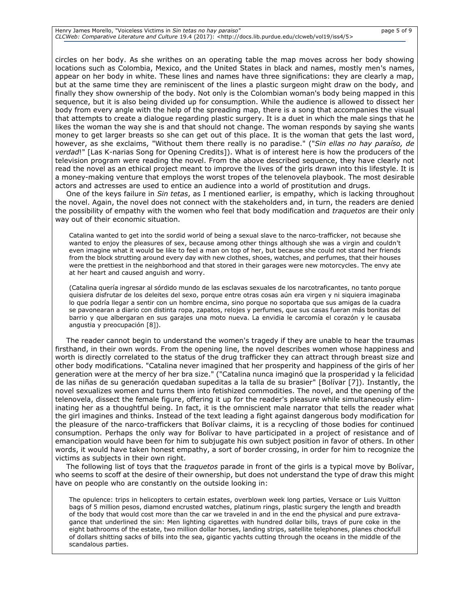circles on her body. As she writhes on an operating table the map moves across her body showing locations such as Colombia, Mexico, and the United States in black and names, mostly men's names, appear on her body in white. These lines and names have three significations: they are clearly a map, but at the same time they are reminiscent of the lines a plastic surgeon might draw on the body, and finally they show ownership of the body. Not only is the Colombian woman's body being mapped in this sequence, but it is also being divided up for consumption. While the audience is allowed to dissect her body from every angle with the help of the spreading map, there is a song that accompanies the visual that attempts to create a dialogue regarding plastic surgery. It is a duet in which the male sings that he likes the woman the way she is and that should not change. The woman responds by saying she wants money to get larger breasts so she can get out of this place. It is the woman that gets the last word, however, as she exclaims, "Without them there really is no paradise." ("*Sin ellas no hay paraíso, de verdad*!" [Las K-narias Song for Opening Credits]). What is of interest here is how the producers of the television program were reading the novel. From the above described sequence, they have clearly not read the novel as an ethical project meant to improve the lives of the girls drawn into this lifestyle. It is a money-making venture that employs the worst tropes of the telenovela playbook. The most desirable actors and actresses are used to entice an audience into a world of prostitution and drugs.

One of the keys failure in *Sin tetas*, as I mentioned earlier, is empathy, which is lacking throughout the novel. Again, the novel does not connect with the stakeholders and, in turn, the readers are denied the possibility of empathy with the women who feel that body modification and *traquetos* are their only way out of their economic situation.

Catalina wanted to get into the sordid world of being a sexual slave to the narco-trafficker, not because she wanted to enjoy the pleasures of sex, because among other things although she was a virgin and couldn't even imagine what it would be like to feel a man on top of her, but because she could not stand her friends from the block strutting around every day with new clothes, shoes, watches, and perfumes, that their houses were the prettiest in the neighborhood and that stored in their garages were new motorcycles. The envy ate at her heart and caused anguish and worry.

(Catalina quería ingresar al sórdido mundo de las esclavas sexuales de los narcotraficantes, no tanto porque quisiera disfrutar de los deleites del sexo, porque entre otras cosas aún era virgen y ni siquiera imaginaba lo que podría llegar a sentir con un hombre encima, sino porque no soportaba que sus amigas de la cuadra se pavonearan a diario con distinta ropa, zapatos, relojes y perfumes, que sus casas fueran más bonitas del barrio y que albergaran en sus garajes una moto nueva. La envidia le carcomía el corazón y le causaba angustia y preocupación [8]).

The reader cannot begin to understand the women's tragedy if they are unable to hear the traumas firsthand, in their own words. From the opening line, the novel describes women whose happiness and worth is directly correlated to the status of the drug trafficker they can attract through breast size and other body modifications. "Catalina never imagined that her prosperity and happiness of the girls of her generation were at the mercy of her bra size." ("Catalina nunca imaginó que la prosperidad y la felicidad de las niñas de su generación quedaban supeditas a la talla de su brasier" [Bolívar [7]). Instantly, the novel sexualizes women and turns them into fetishized commodities. The novel, and the opening of the telenovela, dissect the female figure, offering it up for the reader's pleasure while simultaneously eliminating her as a thoughtful being. In fact, it is the omniscient male narrator that tells the reader what the girl imagines and thinks. Instead of the text leading a fight against dangerous body modification for the pleasure of the narco-traffickers that Bolívar claims, it is a recycling of those bodies for continued consumption. Perhaps the only way for Bolívar to have participated in a project of resistance and of emancipation would have been for him to subjugate his own subject position in favor of others. In other words, it would have taken honest empathy, a sort of border crossing, in order for him to recognize the victims as subjects in their own right.

The following list of toys that the *traquetos* parade in front of the girls is a typical move by Bolívar, who seems to scoff at the desire of their ownership, but does not understand the type of draw this might have on people who are constantly on the outside looking in:

The opulence: trips in helicopters to certain estates, overblown week long parties, Versace or Luis Vuitton bags of 5 million pesos, diamond encrusted watches, platinum rings, plastic surgery the length and breadth of the body that would cost more than the car we traveled in and in the end the physical and pure extravagance that underlined the sin: Men lighting cigarettes with hundred dollar bills, trays of pure coke in the eight bathrooms of the estate, two million dollar horses, landing strips, satellite telephones, planes chockfull of dollars shitting sacks of bills into the sea, gigantic yachts cutting through the oceans in the middle of the scandalous parties.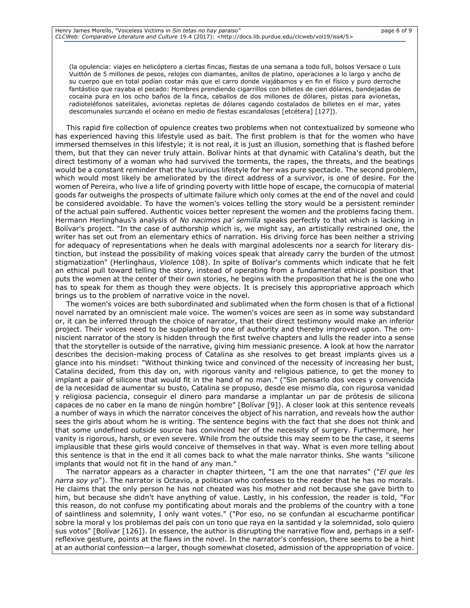(la opulencia: viajes en helicóptero a ciertas fincas, fiestas de una semana a todo full, bolsos Versace o Luis Vuittón de 5 millones de pesos, relojes con diamantes, anillos de platino, operaciones a lo largo y ancho de su cuerpo que en total podían costar más que el carro donde viajábamos y en fin el físico y puro derroche fantástico que rayaba el pecado: Hombres prendiendo cigarrillos con billetes de cien dólares, bandejadas de cocaína pura en los ocho baños de la finca, caballos de dos millones de dólares, pistas para avionetas, radioteléfonos satelitales, avionetas repletas de dólares cagando costalados de billetes en el mar, yates descomunales surcando el océano en medio de fiestas escandalosas [etcétera] [127]).

This rapid fire collection of opulence creates two problems when not contextualized by someone who has experienced having this lifestyle used as bait. The first problem is that for the women who have immersed themselves in this lifestyle; it is not real, it is just an illusion, something that is flashed before them, but that they can never truly attain. Bolívar hints at that dynamic with Catalina's death, but the direct testimony of a woman who had survived the torments, the rapes, the threats, and the beatings would be a constant reminder that the luxurious lifestyle for her was pure spectacle. The second problem, which would most likely be ameliorated by the direct address of a survivor, is one of desire. For the women of Pereira, who live a life of grinding poverty with little hope of escape, the cornucopia of material goods far outweighs the prospects of ultimate failure which only comes at the end of the novel and could be considered avoidable. To have the women's voices telling the story would be a persistent reminder of the actual pain suffered. Authentic voices better represent the women and the problems facing them. Hermann Herlinghaus's analysis of *No nacimos pa' semilla* speaks perfectly to that which is lacking in Bolívar's project. "In the case of authorship which is, we might say, an artistically restrained one, the writer has set out from an elementary ethics of narration. His driving force has been neither a striving for adequacy of representations when he deals with marginal adolescents nor a search for literary distinction, but instead the possibility of making voices speak that already carry the burden of the utmost stigmatization" (Herlinghaus, *Violence* 108). In spite of Bolívar's comments which indicate that he felt an ethical pull toward telling the story, instead of operating from a fundamental ethical position that puts the women at the center of their own stories, he begins with the proposition that he is the one who has to speak for them as though they were objects. It is precisely this appropriative approach which brings us to the problem of narrative voice in the novel.

The women's voices are both subordinated and sublimated when the form chosen is that of a fictional novel narrated by an omniscient male voice. The women's voices are seen as in some way substandard or, it can be inferred through the choice of narrator, that their direct testimony would make an inferior project. Their voices need to be supplanted by one of authority and thereby improved upon. The omniscient narrator of the story is hidden through the first twelve chapters and lulls the reader into a sense that the storyteller is outside of the narrative, giving him messianic presence. A look at how the narrator describes the decision-making process of Catalina as she resolves to get breast implants gives us a glance into his mindset: "Without thinking twice and convinced of the necessity of increasing her bust, Catalina decided, from this day on, with rigorous vanity and religious patience, to get the money to implant a pair of silicone that would fit in the hand of no man." ("Sin pensarlo dos veces y convencida de la necesidad de aumentar su busto, Catalina se propuso, desde ese mismo día, con rigurosa vanidad y religiosa paciencia, conseguir el dinero para mandarse a implantar un par de prótesis de silicona capaces de no caber en la mano de ningún hombre" [Bolívar [9]). A closer look at this sentence reveals a number of ways in which the narrator conceives the object of his narration, and reveals how the author sees the girls about whom he is writing. The sentence begins with the fact that she does not think and that some undefined outside source has convinced her of the necessity of surgery. Furthermore, her vanity is rigorous, harsh, or even severe. While from the outside this may seem to be the case, it seems implausible that these girls would conceive of themselves in that way. What is even more telling about this sentence is that in the end it all comes back to what the male narrator thinks. She wants "silicone implants that would not fit in the hand of any man."

The narrator appears as a character in chapter thirteen, "I am the one that narrates" ("*El que les narra soy yo*"). The narrator is Octavio, a politician who confesses to the reader that he has no morals. He claims that the only person he has not cheated was his mother and not because she gave birth to him, but because she didn't have anything of value. Lastly, in his confession, the reader is told, "For this reason, do not confuse my pontificating about morals and the problems of the country with a tone of saintliness and solemnity, I only want votes." ("Por eso, no se confundan al escucharme pontificar sobre la moral y los problemas del país con un tono que raya en la santidad y la solemnidad, solo quiero sus votos" [Bolívar [126]). In essence, the author is disrupting the narrative flow and, perhaps in a selfreflexive gesture, points at the flaws in the novel. In the narrator's confession, there seems to be a hint at an authorial confession—a larger, though somewhat closeted, admission of the appropriation of voice.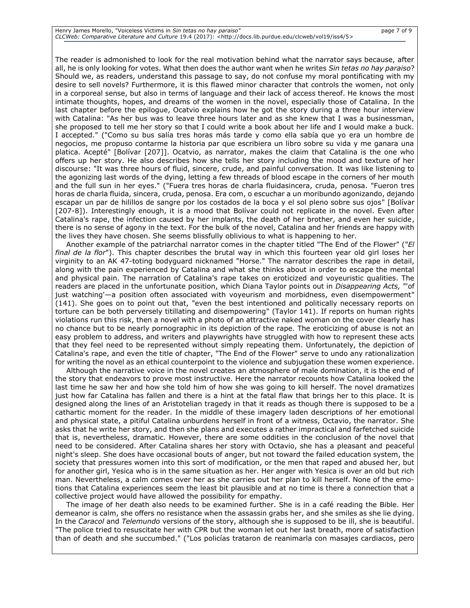# Henry James Morello, "Voiceless Victims in *Sin tetas no hay paraiso"* page 7 of 9 *CLCWeb: Comparative Literature and Culture* 19.4 (2017): <http://docs.lib.purdue.edu/clcweb/vol19/iss4/5>

The reader is admonished to look for the real motivation behind what the narrator says because, after all, he is only looking for votes. What then does the author want when he writes *Sin tetas no hay paraiso*? Should we, as readers, understand this passage to say, do not confuse my moral pontificating with my desire to sell novels? Furthermore, it is this flawed minor character that controls the women, not only in a corporeal sense, but also in terms of language and their lack of access thereof. He knows the most intimate thoughts, hopes, and dreams of the women in the novel, especially those of Catalina. In the last chapter before the epilogue, Ocatvio explains how he got the story during a three hour interview with Catalina: "As her bus was to leave three hours later and as she knew that I was a businessman, she proposed to tell me her story so that I could write a book about her life and I would make a buck. I accepted." ("Como su bus salía tres horas más tarde y como ella sabía que yo era un hombre de negocios, me propuso contarme la historia par que escribiera un libro sobre su vida y me ganara una platica. Acepté" [Bolívar [207]]. Ocatvio, as narrator, makes the claim that Catalina is the one who offers up her story. He also describes how she tells her story including the mood and texture of her discourse: "It was three hours of fluid, sincere, crude, and painful conversation. It was like listening to the agonizing last words of the dying, letting a few threads of blood escape in the corners of her mouth and the full sun in her eyes." ("Fuera tres horas de charla fluidasincera, cruda, penosa. "Fueron tres horas de charla fluida, sincera, cruda, penosa. Era com, o escuchar a un moribundo agonizando, dejando escapar un par de hilillos de sangre por los costados de la boca y el sol pleno sobre sus ojos" [Bolívar [207-8]). Interestingly enough, it is a mood that Bolívar could not replicate in the novel. Even after Catalina's rape, the infection caused by her implants, the death of her brother, and even her suicide, there is no sense of agony in the text. For the bulk of the novel, Catalina and her friends are happy with the lives they have chosen. She seems blissfully oblivious to what is happening to her.

Another example of the patriarchal narrator comes in the chapter titled "The End of the Flower" ("*El final de la flor*"). This chapter describes the brutal way in which this fourteen year old girl loses her virginity to an AK 47-toting bodyguard nicknamed "Horse." The narrator describes the rape in detail, along with the pain experienced by Catalina and what she thinks about in order to escape the mental and physical pain. The narration of Catalina's rape takes on eroticized and voyeuristic qualities. The readers are placed in the unfortunate position, which Diana Taylor points out in *Disappearing Acts,* "'of just watching'—a position often associated with voyeurism and morbidness, even disempowerment" (141). She goes on to point out that, "even the best intentioned and politically necessary reports on torture can be both perversely titillating and disempowering" (Taylor 141). If reports on human rights violations run this risk, then a novel with a photo of an attractive naked woman on the cover clearly has no chance but to be nearly pornographic in its depiction of the rape. The eroticizing of abuse is not an easy problem to address, and writers and playwrights have struggled with how to represent these acts that they feel need to be represented without simply repeating them. Unfortunately, the depiction of Catalina's rape, and even the title of chapter, "The End of the Flower" serve to undo any rationalization for writing the novel as an ethical counterpoint to the violence and subjugation these women experience.

Although the narrative voice in the novel creates an atmosphere of male domination, it is the end of the story that endeavors to prove most instructive. Here the narrator recounts how Catalina looked the last time he saw her and how she told him of how she was going to kill herself. The novel dramatizes just how far Catalina has fallen and there is a hint at the fatal flaw that brings her to this place. It is designed along the lines of an Aristotelian tragedy in that it reads as though there is supposed to be a cathartic moment for the reader. In the middle of these imagery laden descriptions of her emotional and physical state, a pitiful Catalina unburdens herself in front of a witness, Octavio, the narrator. She asks that he write her story, and then she plans and executes a rather impractical and farfetched suicide that is, nevertheless, dramatic. However, there are some oddities in the conclusion of the novel that need to be considered. After Catalina shares her story with Octavio, she has a pleasant and peaceful night's sleep. She does have occasional bouts of anger, but not toward the failed education system, the society that pressures women into this sort of modification, or the men that raped and abused her, but for another girl, Yesica who is in the same situation as her. Her anger with Yesica is over an old but rich man. Nevertheless, a calm comes over her as she carries out her plan to kill herself. None of the emotions that Catalina experiences seem the least bit plausible and at no time is there a connection that a collective project would have allowed the possibility for empathy.

The image of her death also needs to be examined further. She is in a café reading the Bible. Her demeanor is calm, she offers no resistance when the assassin grabs her, and she smiles as she lie dying. In the *Caracol* and *Telemundo* versions of the story, although she is supposed to be ill, she is beautiful. "The police tried to resuscitate her with CPR but the woman let out her last breath, more of satisfaction than of death and she succumbed." ("Los policías trataron de reanimarla con masajes cardiacos, pero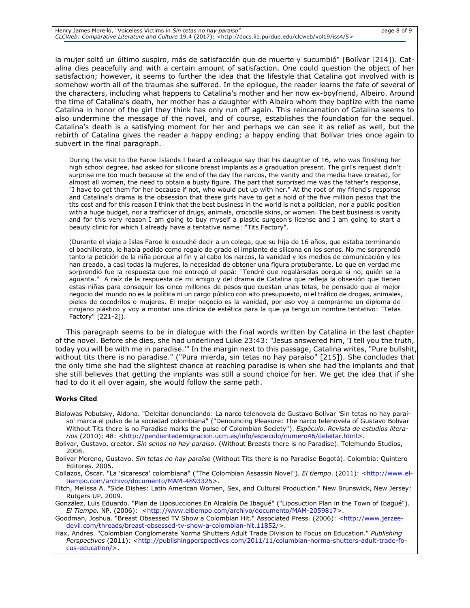| Henry James Morello, "Voiceless Victims in Sin tetas no hay paraiso"                                                           | page 8 of 9 |
|--------------------------------------------------------------------------------------------------------------------------------|-------------|
| CLCWeb: Comparative Literature and Culture 19.4 (2017): <http: 5="" clcweb="" docs.lib.purdue.edu="" iss4="" vol19=""></http:> |             |

la mujer soltó un último suspiro, más de satisfacción que de muerte y sucumbió" [Bolívar [214]). Catalina dies peacefully and with a certain amount of satisfaction. One could question the object of her satisfaction; however, it seems to further the idea that the lifestyle that Catalina got involved with is somehow worth all of the traumas she suffered. In the epilogue, the reader learns the fate of several of the characters, including what happens to Catalina's mother and her now ex-boyfriend, Albeiro. Around the time of Catalina's death, her mother has a daughter with Albeiro whom they baptize with the name Catalina in honor of the girl they think has only run off again. This reincarnation of Catalina seems to also undermine the message of the novel, and of course, establishes the foundation for the sequel. Catalina's death is a satisfying moment for her and perhaps we can see it as relief as well, but the rebirth of Catalina gives the reader a happy ending; a happy ending that Bolívar tries once again to subvert in the final paragraph.

During the visit to the Faroe Islands I heard a colleague say that his daughter of 16, who was finishing her high school degree, had asked for silicone breast implants as a graduation present. The girl's request didn't surprise me too much because at the end of the day the narcos, the vanity and the media have created, for almost all women, the need to obtain a busty figure. The part that surprised me was the father's response, "I have to get them for her because if not, who would put up with her." At the root of my friend's response and Catalina's drama is the obsession that these girls have to get a hold of the five million pesos that the tits cost and for this reason I think that the best business in the world is not a politician, nor a public position with a huge budget, nor a trafficker of drugs, animals, crocodile skins, or women. The best business is vanity and for this very reason I am going to buy myself a plastic surgeon's license and I am going to start a beauty clinic for which I already have a tentative name: "Tits Factory".

(Durante el viaje a Islas Faroe le escuché decir a un colega, que su hija de 16 años, que estaba terminando el bachillerato, le había pedido como regalo de grado el implante de silicona en los senos. No me sorprendió tanto la petición de la niña porque al fin y al cabo los narcos, la vanidad y los medios de comunicación y les han creado, a casi todas la mujeres, la necesidad de obtener una figura protuberante. Lo que en verdad me sorprendió fue la respuesta que me entregó el papá: "Tendré que regalárselas porque si no, quién se la aguanta." A raíz de la respuesta de mi amigo y del drama de Catalina que refleja la obsesión que tienen estas niñas para conseguir los cinco millones de pesos que cuestan unas tetas, he pensado que el mejor negocio del mundo no es la política ni un cargo público con alto presupuesto, ni el tráfico de drogas, animales, pieles de cocodrilos o mujeres. El mejor negocio es la vanidad, por eso voy a comprarme un diploma de cirujano plástico y voy a montar una clínica de estética para la que ya tengo un nombre tentativo: "Tetas Factory" [221-2]).

This paragraph seems to be in dialogue with the final words written by Catalina in the last chapter of the novel. Before she dies, she had underlined Luke 23:43: "Jesus answered him, 'I tell you the truth, today you will be with me in paradise.'" In the margin next to this passage, Catalina writes, "Pure bullshit, without tits there is no paradise." ("Pura mierda, sin tetas no hay paraíso" [215]). She concludes that the only time she had the slightest chance at reaching paradise is when she had the implants and that she still believes that getting the implants was still a sound choice for her. We get the idea that if she had to do it all over again, she would follow the same path.

#### **Works Cited**

- Bialowas Pobutsky, Aldona. "Deleitar denunciando: La narco telenovela de Gustavo Bolívar 'Sin tetas no hay paraíso' marca el pulso de la sociedad colombiana" ("Denouncing Pleasure: The narco telenovela of Gustavo Bolivar Without Tits there is no Paradise marks the pulse of Colombian Society"). *Espéculo. Revista de estudios litera-*rios (2010): 48: [<http://pendientedemigracion.ucm.es/info/especulo/numero46/deleitar.html>](http://pendientedemigracion.ucm.es/info/especulo/numero46/deleitar.html).
- Bolivar, Gustavo, creator. *Sin senos no hay paraiso*. (Without Breasts there is no Paradise). Telemundo Studios, 2008.
- Bolívar Moreno, Gustavo. *Sin tetas no hay paraíso* (Without Tits there is no Paradise Bogotá). Colombia: Quintero Editores. 2005.
- Collazos, Óscar. "La 'sicaresca' colombiana" ("The Colombian Assassin Novel"). *El tiempo*. (2011): [<http://www.el](http://www.eltiempo.com/archivo/documento/MAM-4893325)[tiempo.com/archivo/documento/MAM-4893325>](http://www.eltiempo.com/archivo/documento/MAM-4893325).

Fitch, Melissa A. "Side Dishes: Latin American Women, Sex, and Cultural Production." New Brunswick, New Jersey: Rutgers UP. 2009.

González, Luis Eduardo. "Plan de Liposucciones En Alcaldía De Ibagué" ("Liposuction Plan in the Town of Ibagué"). *El Tiempo.* NP. (2006): [<http://www.eltiempo.com/archivo/documento/MAM-2059817>](http://www.eltiempo.com/archivo/documento/MAM-2059817).

- Goodman, Joshua. "Breast Obsessed TV Show a Colombian Hit." Associated Press. (2006): [<http://www.jerzee](http://www.jerzeedevil.com/threads/breast-obsessed-tv-show-a-colombian-hit.11852/)[devil.com/threads/breast-obsessed-tv-show-a-colombian-hit.11852/>](http://www.jerzeedevil.com/threads/breast-obsessed-tv-show-a-colombian-hit.11852/).
- Hax, Andres. "Colombian Conglomerate Norma Shutters Adult Trade Division to Focus on Education." *Publishing*  Perspectives (2011): [<http://publishingperspectives.com/2011/11/columbian-norma-shutters-adult-trade-fo](http://publishingperspectives.com/2011/11/columbian-norma-shutters-adult-trade-focus-education/)[cus-education/>](http://publishingperspectives.com/2011/11/columbian-norma-shutters-adult-trade-focus-education/).